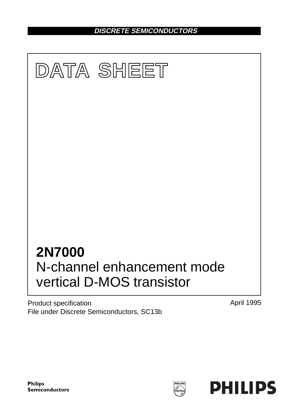**DISCRETE SEMICONDUCTORS**



Product specification File under Discrete Semiconductors, SC13b April 1995



HILIP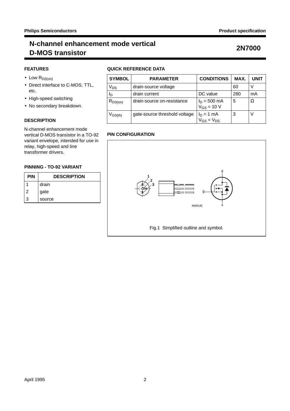## **N-channel enhancement mode vertical D-MOS transistor 2N7000**

## **FEATURES**

- $\bullet$  Low  $R_{DS(on)}$
- Direct interface to C-MOS, TTL, etc.
- High-speed switching
- No secondary breakdown.

### **DESCRIPTION**

N-channel enhancement mode vertical D-MOS transistor in a TO-92 variant envelope, intended for use in relay, high-speed and line transformer drivers.

#### **PINNING - TO-92 VARIANT**

| <b>PIN</b> | <b>DESCRIPTION</b> |  |
|------------|--------------------|--|
|            | drain              |  |
| 2          | gate               |  |
| 3          | source             |  |

### **QUICK REFERENCE DATA**

| <b>SYMBOL</b> | <b>PARAMETER</b>              | <b>CONDITIONS</b>                         | MAX. | UNIT |
|---------------|-------------------------------|-------------------------------------------|------|------|
| Vps           | drain-source voltage          |                                           | 60   |      |
| םי            | drain current                 | DC value                                  | 280  | mA   |
| $R_{DS(on)}$  | drain-source on-resistance    | $I_D = 500 \text{ mA}$<br>$V_{GS}$ = 10 V | 5    | Ω    |
| $V_{GS(th)}$  | gate-source threshold voltage | $I_D = 1$ mA<br>$V_{GS} = V_{DS}$         | 3    | V    |

### **PIN CONFIGURATION**

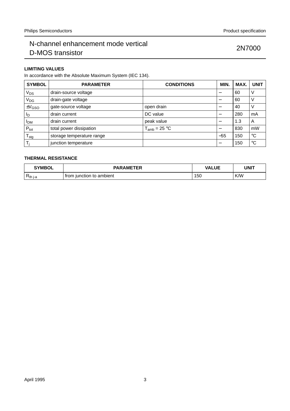### **LIMITING VALUES**

In accordance with the Absolute Maximum System (IEC 134).

| <b>SYMBOL</b>              | <b>PARAMETER</b>          | <b>CONDITIONS</b> | MIN.  | MAX. | <b>UNIT</b> |
|----------------------------|---------------------------|-------------------|-------|------|-------------|
| $V_{DS}$                   | drain-source voltage      |                   |       | 60   | V           |
| V <sub>DG</sub>            | drain-gate voltage        |                   |       | 60   | V           |
| $\pm V$ <sub>GSO</sub>     | gate-source voltage       | open drain        |       | 40   | $\vee$      |
| ΙD                         | drain current             | DC value          |       | 280  | mA          |
| <b>I</b> <sub>DM</sub>     | drain current             | peak value        | –     | 1.3  | A           |
| $P_{\rm tot}$              | total power dissipation   | $T_{amb}$ = 25 °C |       | 830  | mW          |
| ${\mathsf T}_{\text{stg}}$ | storage temperature range |                   | $-55$ | 150  | $^{\circ}C$ |
| Ti                         | junction temperature      |                   |       | 150  | $^{\circ}C$ |

### **THERMAL RESISTANCE**

| <b>SYMBOL</b> | <b>PARAMETER</b><br>ЕR   | <b>VALUE</b> | UNIT |
|---------------|--------------------------|--------------|------|
| $R_{th i-a}$  | from junction to ambient | 150          | K/W  |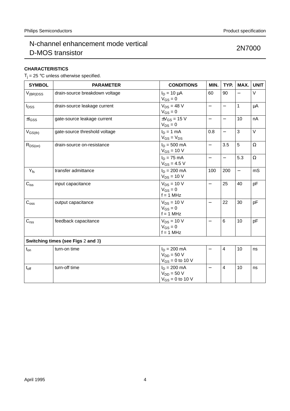### **CHARACTERISTICS**

 $T_j$  = 25 °C unless otherwise specified.

| <b>SYMBOL</b>                      | <b>PARAMETER</b>               | <b>CONDITIONS</b>                                         | MIN.                     | TYP.                     | MAX.                     | <b>UNIT</b> |
|------------------------------------|--------------------------------|-----------------------------------------------------------|--------------------------|--------------------------|--------------------------|-------------|
| $V_{(BR)DSS}$                      | drain-source breakdown voltage | $I_D = 10 \mu A$<br>$V_{GS} = 0$                          | 60                       | 90                       |                          | V           |
| $I_{DSS}$                          | drain-source leakage current   | $V_{DS}$ = 48 V<br>$V_{GS} = 0$                           | $\overline{\phantom{0}}$ | $\overline{\phantom{0}}$ | $\mathbf{1}$             | μA          |
| $\pm I_{GSS}$                      | gate-source leakage current    | $\pm V$ <sub>GS</sub> = 15 V<br>$V_{DS} = 0$              | $\overline{\phantom{0}}$ | $\qquad \qquad -$        | 10                       | nA          |
| $V_{GS(th)}$                       | gate-source threshold voltage  | $I_D = 1$ mA<br>$V_{GS} = V_{DS}$                         | 0.8                      |                          | 3                        | $\vee$      |
| $R_{DS(on)}$                       | drain-source on-resistance     | $I_D = 500$ mA<br>$V_{GS}$ = 10 V                         | $\overline{\phantom{0}}$ | 3.5                      | 5                        | $\Omega$    |
|                                    |                                | $I_D = 75$ mA<br>$V_{GS} = 4.5 V$                         | $\overline{\phantom{0}}$ | $\overline{\phantom{0}}$ | 5.3                      | $\Omega$    |
| $ Y_{fs} $                         | transfer admittance            | $I_D = 200$ mA<br>$V_{DS} = 10 V$                         | 100                      | 200                      | $\overline{\phantom{0}}$ | mS          |
| $C_{iss}$                          | input capacitance              | $V_{DS}$ = 10 V<br>$V_{GS} = 0$<br>$f = 1$ MHz            | $\overline{\phantom{0}}$ | 25                       | 40                       | pF          |
| C <sub>oss</sub>                   | output capacitance             | $V_{DS}$ = 10 V<br>$V_{GS} = 0$<br>$f = 1$ MHz            | $\overline{\phantom{0}}$ | 22                       | 30                       | pF          |
| $C_{\text{rss}}$                   | feedback capacitance           | $V_{DS}$ = 10 V<br>$V_{GS} = 0$<br>$f = 1$ MHz            |                          | $\,6$                    | 10                       | pF          |
| Switching times (see Figs 2 and 3) |                                |                                                           |                          |                          |                          |             |
| $t_{on}$                           | turn-on time                   | $I_D = 200$ mA<br>$V_{DD} = 50 V$<br>$V_{GS} = 0$ to 10 V |                          | $\overline{4}$           | 10                       | ns          |
| $t_{\text{off}}$                   | turn-off time                  | $I_D = 200$ mA<br>$V_{DD} = 50 V$<br>$V_{GS} = 0$ to 10 V | $\overline{\phantom{0}}$ | $\overline{4}$           | 10                       | ns          |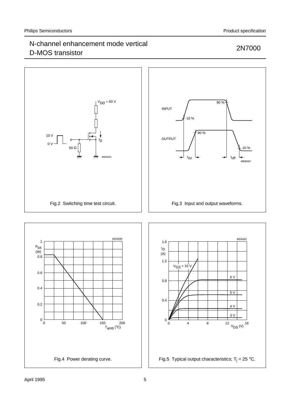### $V<sub>DD</sub> = 50 V$ 90 % INPUT 10 % 90 % 10 V OUTPUT I D  $0 V$ 50 Ω 10 % MSA631 <del>৵</del>  $t_{off}$ t on  $\rightarrow$  t MBB692 Fig.2 Switching time test circuit. Fig.3 Input and output waveforms. MDA690 MDA691 1  $1.6$   $\Box$ nder P<sub>tot</sub> I D (W)  $(A)$ 0.8 1.2  $V_{GS} = 10^{1}V$ 0.6 6 V 0.8 0.4  $\overline{5V}$ 0.4 0.2 4 V 3 V $0\frac{L}{0}$ 0 150 0 50 100 200 048  $12$   $V_{DS}$  (V)  $16$  $T_{amb}$  ( $°C$ ) Fig.4 Power derating curve. Fig.5 Typical output characteristics;  $T_j = 25$  °C.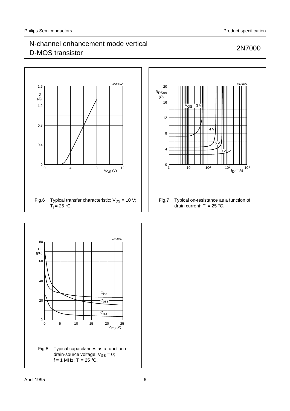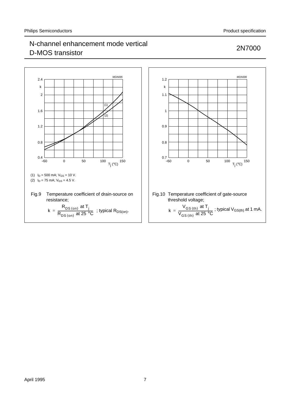

## April 1995 7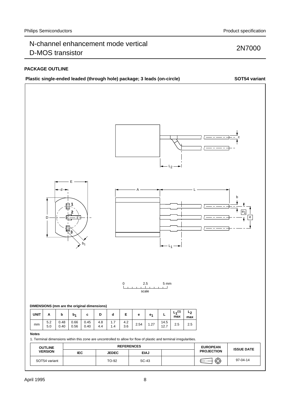### **PACKAGE OUTLINE**



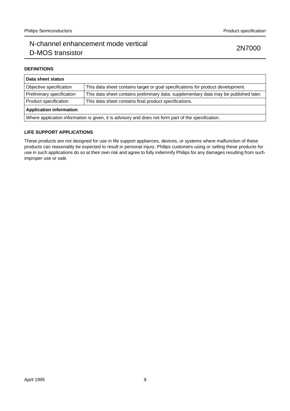#### **DEFINITIONS**

| Data sheet status                                                                                   |                                                                                       |  |  |
|-----------------------------------------------------------------------------------------------------|---------------------------------------------------------------------------------------|--|--|
| Objective specification                                                                             | This data sheet contains target or goal specifications for product development.       |  |  |
| Preliminary specification                                                                           | This data sheet contains preliminary data; supplementary data may be published later. |  |  |
| Product specification                                                                               | This data sheet contains final product specifications.                                |  |  |
| <b>Application information</b>                                                                      |                                                                                       |  |  |
| Where application information is given, it is advisory and does not form part of the specification. |                                                                                       |  |  |

#### **LIFE SUPPORT APPLICATIONS**

These products are not designed for use in life support appliances, devices, or systems where malfunction of these products can reasonably be expected to result in personal injury. Philips customers using or selling these products for use in such applications do so at their own risk and agree to fully indemnify Philips for any damages resulting from such improper use or sale.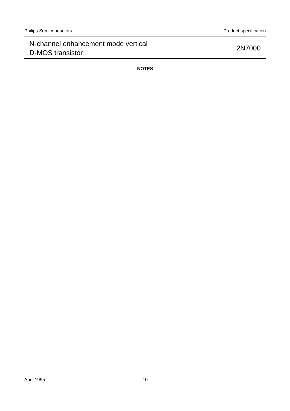**NOTES**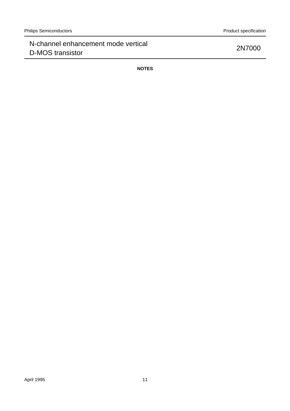**NOTES**